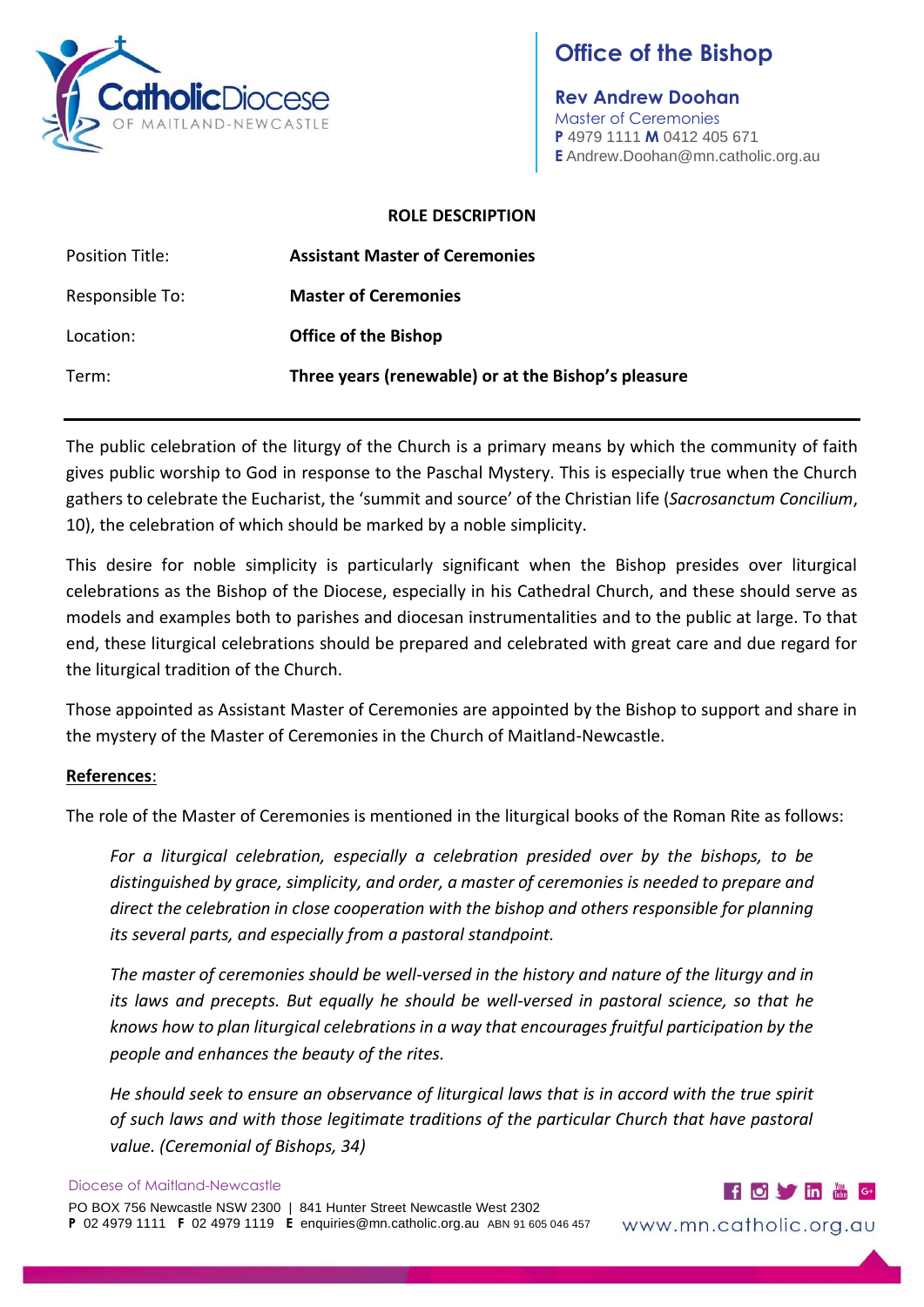

# **Office of the Bishop**

**Rev Andrew Doohan** Master of Ceremonies **P** 4979 1111 **M** 0412 405 671 **E** Andrew.Doohan@mn.catholic.org.au

#### **ROLE DESCRIPTION**

| Position Title: | <b>Assistant Master of Ceremonies</b>               |
|-----------------|-----------------------------------------------------|
| Responsible To: | <b>Master of Ceremonies</b>                         |
| Location:       | <b>Office of the Bishop</b>                         |
| Term:           | Three years (renewable) or at the Bishop's pleasure |

The public celebration of the liturgy of the Church is a primary means by which the community of faith gives public worship to God in response to the Paschal Mystery. This is especially true when the Church gathers to celebrate the Eucharist, the 'summit and source' of the Christian life (*Sacrosanctum Concilium*, 10), the celebration of which should be marked by a noble simplicity.

This desire for noble simplicity is particularly significant when the Bishop presides over liturgical celebrations as the Bishop of the Diocese, especially in his Cathedral Church, and these should serve as models and examples both to parishes and diocesan instrumentalities and to the public at large. To that end, these liturgical celebrations should be prepared and celebrated with great care and due regard for the liturgical tradition of the Church.

Those appointed as Assistant Master of Ceremonies are appointed by the Bishop to support and share in the mystery of the Master of Ceremonies in the Church of Maitland-Newcastle.

## **References**:

The role of the Master of Ceremonies is mentioned in the liturgical books of the Roman Rite as follows:

*For a liturgical celebration, especially a celebration presided over by the bishops, to be distinguished by grace, simplicity, and order, a master of ceremonies is needed to prepare and direct the celebration in close cooperation with the bishop and others responsible for planning its several parts, and especially from a pastoral standpoint.*

*The master of ceremonies should be well-versed in the history and nature of the liturgy and in its laws and precepts. But equally he should be well-versed in pastoral science, so that he knows how to plan liturgical celebrations in a way that encourages fruitful participation by the people and enhances the beauty of the rites.*

*He should seek to ensure an observance of liturgical laws that is in accord with the true spirit of such laws and with those legitimate traditions of the particular Church that have pastoral value. (Ceremonial of Bishops, 34)*



www.mn.catholic.org.au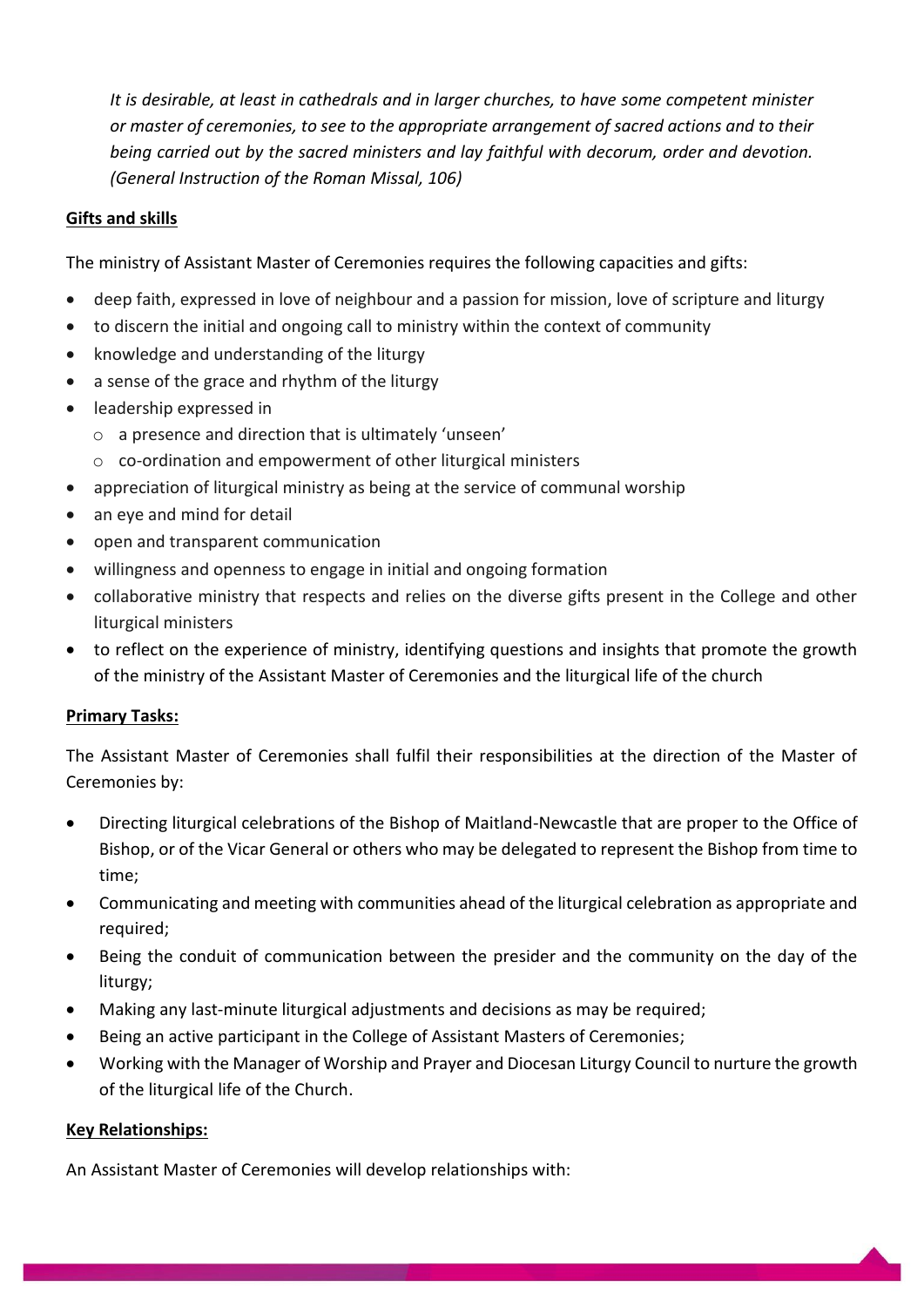*It is desirable, at least in cathedrals and in larger churches, to have some competent minister or master of ceremonies, to see to the appropriate arrangement of sacred actions and to their being carried out by the sacred ministers and lay faithful with decorum, order and devotion. (General Instruction of the Roman Missal, 106)*

## **Gifts and skills**

The ministry of Assistant Master of Ceremonies requires the following capacities and gifts:

- deep faith, expressed in love of neighbour and a passion for mission, love of scripture and liturgy
- to discern the initial and ongoing call to ministry within the context of community
- knowledge and understanding of the liturgy
- a sense of the grace and rhythm of the liturgy
- leadership expressed in
	- o a presence and direction that is ultimately 'unseen'
	- o co-ordination and empowerment of other liturgical ministers
- appreciation of liturgical ministry as being at the service of communal worship
- an eye and mind for detail
- open and transparent communication
- willingness and openness to engage in initial and ongoing formation
- collaborative ministry that respects and relies on the diverse gifts present in the College and other liturgical ministers
- to reflect on the experience of ministry, identifying questions and insights that promote the growth of the ministry of the Assistant Master of Ceremonies and the liturgical life of the church

## **Primary Tasks:**

The Assistant Master of Ceremonies shall fulfil their responsibilities at the direction of the Master of Ceremonies by:

- Directing liturgical celebrations of the Bishop of Maitland-Newcastle that are proper to the Office of Bishop, or of the Vicar General or others who may be delegated to represent the Bishop from time to time;
- Communicating and meeting with communities ahead of the liturgical celebration as appropriate and required;
- Being the conduit of communication between the presider and the community on the day of the liturgy;
- Making any last-minute liturgical adjustments and decisions as may be required;
- Being an active participant in the College of Assistant Masters of Ceremonies;
- Working with the Manager of Worship and Prayer and Diocesan Liturgy Council to nurture the growth of the liturgical life of the Church.

## **Key Relationships:**

An Assistant Master of Ceremonies will develop relationships with: